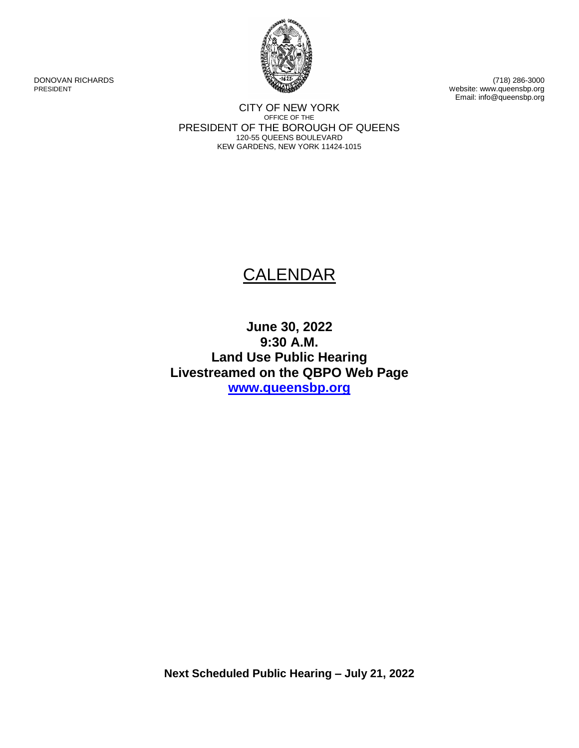

DONOVAN RICHARDS (718) 286-3000 PRESIDENT Website: www.queensbp.org Email: info@queensbp.org

> CITY OF NEW YORK OFFICE OF THE PRESIDENT OF THE BOROUGH OF QUEENS 120-55 QUEENS BOULEVARD KEW GARDENS, NEW YORK 11424-1015

# **CALENDAR**

## **June 30, 2022 9:30 A.M. Land Use Public Hearing Livestreamed on the QBPO Web Page [www.queensbp.org](http://www.queensbp.org/)**

**Next Scheduled Public Hearing – July 21, 2022**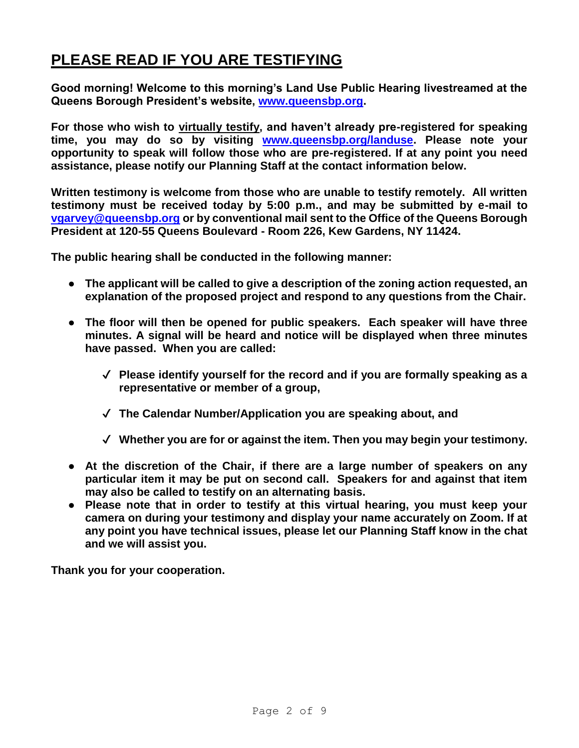# **PLEASE READ IF YOU ARE TESTIFYING**

**Good morning! Welcome to this morning's Land Use Public Hearing livestreamed at the Queens Borough President's website, [www.queensbp.org.](http://www.queensbp.org/)**

For those who wish to virtually testify, and haven't already pre-registered for speaking **time, you may do so by visiting [www.queensbp.org/landuse.](http://www.queensbp.org/landuse) Please note your opportunity to speak will follow those who are pre-registered. If at any point you need assistance, please notify our Planning Staff at the contact information below.**

**Written testimony is welcome from those who are unable to testify remotely. All written testimony must be received today by 5:00 p.m., and may be submitted by e-mail to [vgarvey@queensbp.org](mailto:vgarvey@queensbp.org) or by conventional mail sent to the Office of the Queens Borough President at 120-55 Queens Boulevard - Room 226, Kew Gardens, NY 11424.**

**The public hearing shall be conducted in the following manner:**

- **The applicant will be called to give a description of the zoning action requested, an explanation of the proposed project and respond to any questions from the Chair.**
- **The floor will then be opened for public speakers. Each speaker will have three minutes. A signal will be heard and notice will be displayed when three minutes have passed. When you are called:**
	- ✔ **Please identify yourself for the record and if you are formally speaking as a representative or member of a group,**
	- ✔ **The Calendar Number/Application you are speaking about, and**
	- ✔ **Whether you are for or against the item. Then you may begin your testimony.**
- **At the discretion of the Chair, if there are a large number of speakers on any particular item it may be put on second call. Speakers for and against that item may also be called to testify on an alternating basis.**
- **Please note that in order to testify at this virtual hearing, you must keep your camera on during your testimony and display your name accurately on Zoom. If at any point you have technical issues, please let our Planning Staff know in the chat and we will assist you.**

**Thank you for your cooperation.**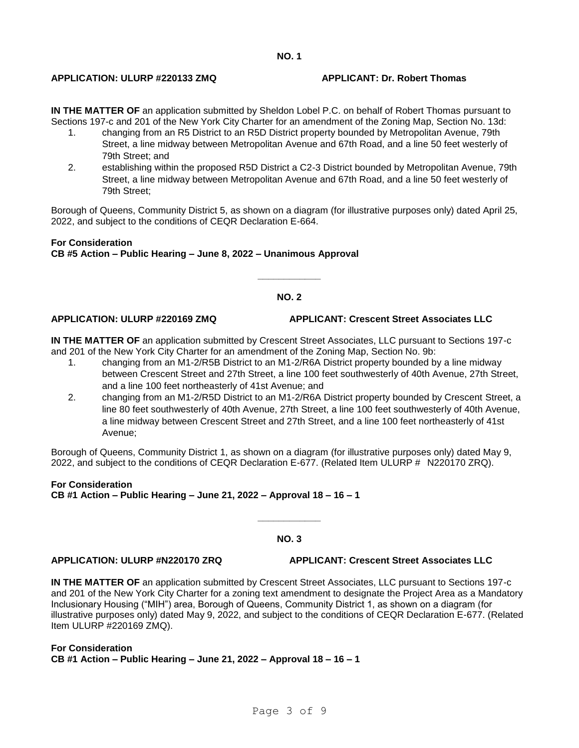### **APPLICATION: ULURP #220133 ZMQ APPLICANT: Dr. Robert Thomas**

**IN THE MATTER OF** an application submitted by Sheldon Lobel P.C. on behalf of Robert Thomas pursuant to Sections 197-c and 201 of the New York City Charter for an amendment of the Zoning Map, Section No. 13d:

- 1. changing from an R5 District to an R5D District property bounded by Metropolitan Avenue, 79th Street, a line midway between Metropolitan Avenue and 67th Road, and a line 50 feet westerly of 79th Street; and
- 2. establishing within the proposed R5D District a C2-3 District bounded by Metropolitan Avenue, 79th Street, a line midway between Metropolitan Avenue and 67th Road, and a line 50 feet westerly of 79th Street;

Borough of Queens, Community District 5, as shown on a diagram (for illustrative purposes only) dated April 25, 2022, and subject to the conditions of CEQR Declaration E-664.

### **For Consideration CB #5 Action – Public Hearing – June 8, 2022 – Unanimous Approval**

### **NO. 2**

**\_\_\_\_\_\_\_\_\_\_\_\_**

#### **APPLICATION: ULURP #220169 ZMQ APPLICANT: Crescent Street Associates LLC**

**IN THE MATTER OF** an application submitted by Crescent Street Associates, LLC pursuant to Sections 197-c and 201 of the New York City Charter for an amendment of the Zoning Map, Section No. 9b:

- 1. changing from an M1-2/R5B District to an M1-2/R6A District property bounded by a line midway between Crescent Street and 27th Street, a line 100 feet southwesterly of 40th Avenue, 27th Street, and a line 100 feet northeasterly of 41st Avenue; and
- 2. changing from an M1-2/R5D District to an M1-2/R6A District property bounded by Crescent Street, a line 80 feet southwesterly of 40th Avenue, 27th Street, a line 100 feet southwesterly of 40th Avenue, a line midway between Crescent Street and 27th Street, and a line 100 feet northeasterly of 41st Avenue;

Borough of Queens, Community District 1, as shown on a diagram (for illustrative purposes only) dated May 9, 2022, and subject to the conditions of CEQR Declaration E-677. (Related Item ULURP # N220170 ZRQ).

### **For Consideration CB #1 Action – Public Hearing – June 21, 2022 – Approval 18 – 16 – 1**

### **NO. 3**

**\_\_\_\_\_\_\_\_\_\_\_\_**

**APPLICATION: ULURP #N220170 ZRQ APPLICANT: Crescent Street Associates LLC**

**IN THE MATTER OF** an application submitted by Crescent Street Associates, LLC pursuant to Sections 197-c and 201 of the New York City Charter for a zoning text amendment to designate the Project Area as a Mandatory Inclusionary Housing ("MIH") area, Borough of Queens, Community District 1, as shown on a diagram (for illustrative purposes only) dated May 9, 2022, and subject to the conditions of CEQR Declaration E-677. (Related Item ULURP #220169 ZMQ).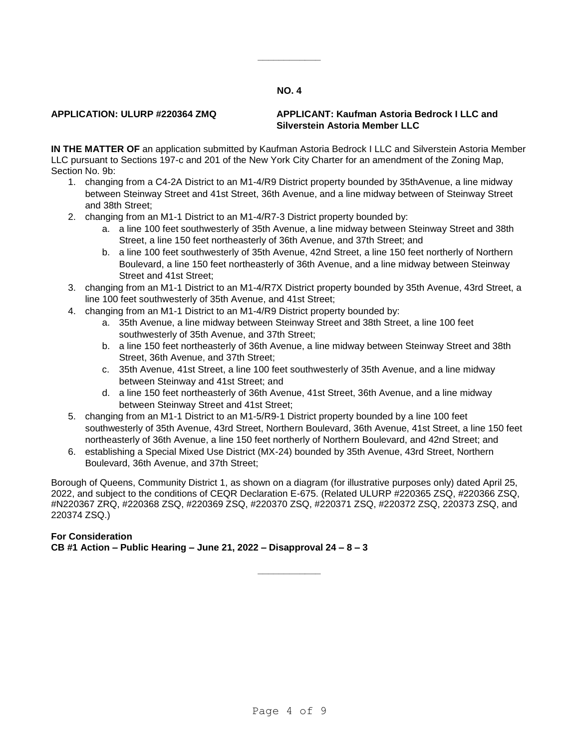**\_\_\_\_\_\_\_\_\_\_\_\_**

### **APPLICATION: ULURP #220364 ZMQ APPLICANT: Kaufman Astoria Bedrock I LLC and Silverstein Astoria Member LLC**

**IN THE MATTER OF** an application submitted by Kaufman Astoria Bedrock I LLC and Silverstein Astoria Member LLC pursuant to Sections 197-c and 201 of the New York City Charter for an amendment of the Zoning Map, Section No. 9b:

- 1. changing from a C4-2A District to an M1-4/R9 District property bounded by 35thAvenue, a line midway between Steinway Street and 41st Street, 36th Avenue, and a line midway between of Steinway Street and 38th Street;
- 2. changing from an M1-1 District to an M1-4/R7-3 District property bounded by:
	- a. a line 100 feet southwesterly of 35th Avenue, a line midway between Steinway Street and 38th Street, a line 150 feet northeasterly of 36th Avenue, and 37th Street; and
	- b. a line 100 feet southwesterly of 35th Avenue, 42nd Street, a line 150 feet northerly of Northern Boulevard, a line 150 feet northeasterly of 36th Avenue, and a line midway between Steinway Street and 41st Street;
- 3. changing from an M1-1 District to an M1-4/R7X District property bounded by 35th Avenue, 43rd Street, a line 100 feet southwesterly of 35th Avenue, and 41st Street;
- 4. changing from an M1-1 District to an M1-4/R9 District property bounded by:
	- a. 35th Avenue, a line midway between Steinway Street and 38th Street, a line 100 feet southwesterly of 35th Avenue, and 37th Street;
	- b. a line 150 feet northeasterly of 36th Avenue, a line midway between Steinway Street and 38th Street, 36th Avenue, and 37th Street;
	- c. 35th Avenue, 41st Street, a line 100 feet southwesterly of 35th Avenue, and a line midway between Steinway and 41st Street; and
	- d. a line 150 feet northeasterly of 36th Avenue, 41st Street, 36th Avenue, and a line midway between Steinway Street and 41st Street;
- 5. changing from an M1-1 District to an M1-5/R9-1 District property bounded by a line 100 feet southwesterly of 35th Avenue, 43rd Street, Northern Boulevard, 36th Avenue, 41st Street, a line 150 feet northeasterly of 36th Avenue, a line 150 feet northerly of Northern Boulevard, and 42nd Street; and
- 6. establishing a Special Mixed Use District (MX-24) bounded by 35th Avenue, 43rd Street, Northern Boulevard, 36th Avenue, and 37th Street;

Borough of Queens, Community District 1, as shown on a diagram (for illustrative purposes only) dated April 25, 2022, and subject to the conditions of CEQR Declaration E-675. (Related ULURP #220365 ZSQ, #220366 ZSQ, #N220367 ZRQ, #220368 ZSQ, #220369 ZSQ, #220370 ZSQ, #220371 ZSQ, #220372 ZSQ, 220373 ZSQ, and 220374 ZSQ.)

**\_\_\_\_\_\_\_\_\_\_\_\_**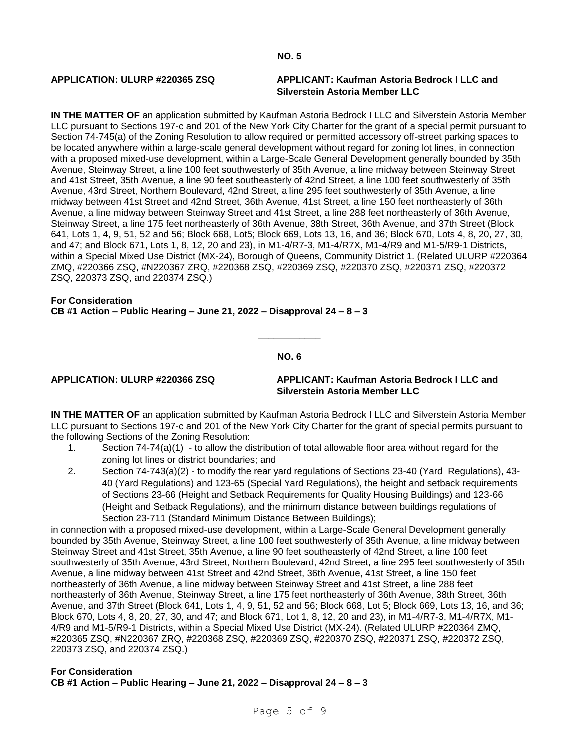### **APPLICATION: ULURP #220365 ZSQ APPLICANT: Kaufman Astoria Bedrock I LLC and Silverstein Astoria Member LLC**

**IN THE MATTER OF** an application submitted by Kaufman Astoria Bedrock I LLC and Silverstein Astoria Member LLC pursuant to Sections 197-c and 201 of the New York City Charter for the grant of a special permit pursuant to Section 74-745(a) of the Zoning Resolution to allow required or permitted accessory off-street parking spaces to be located anywhere within a large-scale general development without regard for zoning lot lines, in connection with a proposed mixed-use development, within a Large-Scale General Development generally bounded by 35th Avenue, Steinway Street, a line 100 feet southwesterly of 35th Avenue, a line midway between Steinway Street and 41st Street, 35th Avenue, a line 90 feet southeasterly of 42nd Street, a line 100 feet southwesterly of 35th Avenue, 43rd Street, Northern Boulevard, 42nd Street, a line 295 feet southwesterly of 35th Avenue, a line midway between 41st Street and 42nd Street, 36th Avenue, 41st Street, a line 150 feet northeasterly of 36th Avenue, a line midway between Steinway Street and 41st Street, a line 288 feet northeasterly of 36th Avenue, Steinway Street, a line 175 feet northeasterly of 36th Avenue, 38th Street, 36th Avenue, and 37th Street (Block 641, Lots 1, 4, 9, 51, 52 and 56; Block 668, Lot5; Block 669, Lots 13, 16, and 36; Block 670, Lots 4, 8, 20, 27, 30, and 47; and Block 671, Lots 1, 8, 12, 20 and 23), in M1-4/R7-3, M1-4/R7X, M1-4/R9 and M1-5/R9-1 Districts, within a Special Mixed Use District (MX-24), Borough of Queens, Community District 1. (Related ULURP #220364 ZMQ, #220366 ZSQ, #N220367 ZRQ, #220368 ZSQ, #220369 ZSQ, #220370 ZSQ, #220371 ZSQ, #220372 ZSQ, 220373 ZSQ, and 220374 ZSQ.)

#### **For Consideration CB #1 Action – Public Hearing – June 21, 2022 – Disapproval 24 – 8 – 3**

#### **NO. 6**

**\_\_\_\_\_\_\_\_\_\_\_\_**

### **APPLICATION: ULURP #220366 ZSQ APPLICANT: Kaufman Astoria Bedrock I LLC and Silverstein Astoria Member LLC**

**IN THE MATTER OF** an application submitted by Kaufman Astoria Bedrock I LLC and Silverstein Astoria Member LLC pursuant to Sections 197-c and 201 of the New York City Charter for the grant of special permits pursuant to the following Sections of the Zoning Resolution:

- 1. Section 74-74(a)(1) to allow the distribution of total allowable floor area without regard for the zoning lot lines or district boundaries; and
- 2. Section 74-743(a)(2) to modify the rear yard regulations of Sections 23-40 (Yard Regulations), 43- 40 (Yard Regulations) and 123-65 (Special Yard Regulations), the height and setback requirements of Sections 23-66 (Height and Setback Requirements for Quality Housing Buildings) and 123-66 (Height and Setback Regulations), and the minimum distance between buildings regulations of Section 23-711 (Standard Minimum Distance Between Buildings);

in connection with a proposed mixed-use development, within a Large-Scale General Development generally bounded by 35th Avenue, Steinway Street, a line 100 feet southwesterly of 35th Avenue, a line midway between Steinway Street and 41st Street, 35th Avenue, a line 90 feet southeasterly of 42nd Street, a line 100 feet southwesterly of 35th Avenue, 43rd Street, Northern Boulevard, 42nd Street, a line 295 feet southwesterly of 35th Avenue, a line midway between 41st Street and 42nd Street, 36th Avenue, 41st Street, a line 150 feet northeasterly of 36th Avenue, a line midway between Steinway Street and 41st Street, a line 288 feet northeasterly of 36th Avenue, Steinway Street, a line 175 feet northeasterly of 36th Avenue, 38th Street, 36th Avenue, and 37th Street (Block 641, Lots 1, 4, 9, 51, 52 and 56; Block 668, Lot 5; Block 669, Lots 13, 16, and 36; Block 670, Lots 4, 8, 20, 27, 30, and 47; and Block 671, Lot 1, 8, 12, 20 and 23), in M1-4/R7-3, M1-4/R7X, M1- 4/R9 and M1-5/R9-1 Districts, within a Special Mixed Use District (MX-24). (Related ULURP #220364 ZMQ, #220365 ZSQ, #N220367 ZRQ, #220368 ZSQ, #220369 ZSQ, #220370 ZSQ, #220371 ZSQ, #220372 ZSQ, 220373 ZSQ, and 220374 ZSQ.)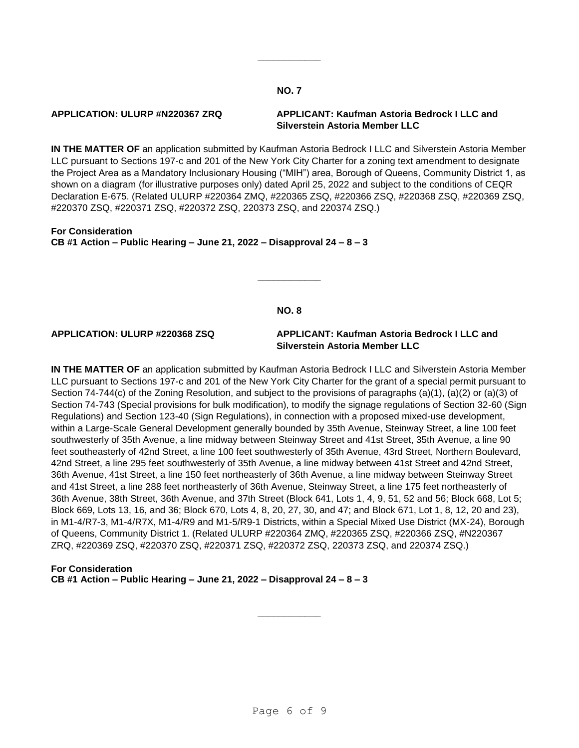**\_\_\_\_\_\_\_\_\_\_\_\_**

### **APPLICATION: ULURP #N220367 ZRQ APPLICANT: Kaufman Astoria Bedrock I LLC and Silverstein Astoria Member LLC**

**IN THE MATTER OF** an application submitted by Kaufman Astoria Bedrock I LLC and Silverstein Astoria Member LLC pursuant to Sections 197-c and 201 of the New York City Charter for a zoning text amendment to designate the Project Area as a Mandatory Inclusionary Housing ("MIH") area, Borough of Queens, Community District 1, as shown on a diagram (for illustrative purposes only) dated April 25, 2022 and subject to the conditions of CEQR Declaration E-675. (Related ULURP #220364 ZMQ, #220365 ZSQ, #220366 ZSQ, #220368 ZSQ, #220369 ZSQ, #220370 ZSQ, #220371 ZSQ, #220372 ZSQ, 220373 ZSQ, and 220374 ZSQ.)

**For Consideration CB #1 Action – Public Hearing – June 21, 2022 – Disapproval 24 – 8 – 3**

#### **NO. 8**

**\_\_\_\_\_\_\_\_\_\_\_\_**

#### **APPLICATION: ULURP #220368 ZSQ APPLICANT: Kaufman Astoria Bedrock I LLC and Silverstein Astoria Member LLC**

**IN THE MATTER OF** an application submitted by Kaufman Astoria Bedrock I LLC and Silverstein Astoria Member LLC pursuant to Sections 197-c and 201 of the New York City Charter for the grant of a special permit pursuant to Section 74-744(c) of the Zoning Resolution, and subject to the provisions of paragraphs (a)(1), (a)(2) or (a)(3) of Section 74-743 (Special provisions for bulk modification), to modify the signage regulations of Section 32-60 (Sign Regulations) and Section 123-40 (Sign Regulations), in connection with a proposed mixed-use development, within a Large-Scale General Development generally bounded by 35th Avenue, Steinway Street, a line 100 feet southwesterly of 35th Avenue, a line midway between Steinway Street and 41st Street, 35th Avenue, a line 90 feet southeasterly of 42nd Street, a line 100 feet southwesterly of 35th Avenue, 43rd Street, Northern Boulevard, 42nd Street, a line 295 feet southwesterly of 35th Avenue, a line midway between 41st Street and 42nd Street, 36th Avenue, 41st Street, a line 150 feet northeasterly of 36th Avenue, a line midway between Steinway Street and 41st Street, a line 288 feet northeasterly of 36th Avenue, Steinway Street, a line 175 feet northeasterly of 36th Avenue, 38th Street, 36th Avenue, and 37th Street (Block 641, Lots 1, 4, 9, 51, 52 and 56; Block 668, Lot 5; Block 669, Lots 13, 16, and 36; Block 670, Lots 4, 8, 20, 27, 30, and 47; and Block 671, Lot 1, 8, 12, 20 and 23), in M1-4/R7-3, M1-4/R7X, M1-4/R9 and M1-5/R9-1 Districts, within a Special Mixed Use District (MX-24), Borough of Queens, Community District 1. (Related ULURP #220364 ZMQ, #220365 ZSQ, #220366 ZSQ, #N220367 ZRQ, #220369 ZSQ, #220370 ZSQ, #220371 ZSQ, #220372 ZSQ, 220373 ZSQ, and 220374 ZSQ.)

### **For Consideration CB #1 Action – Public Hearing – June 21, 2022 – Disapproval 24 – 8 – 3**

**\_\_\_\_\_\_\_\_\_\_\_\_**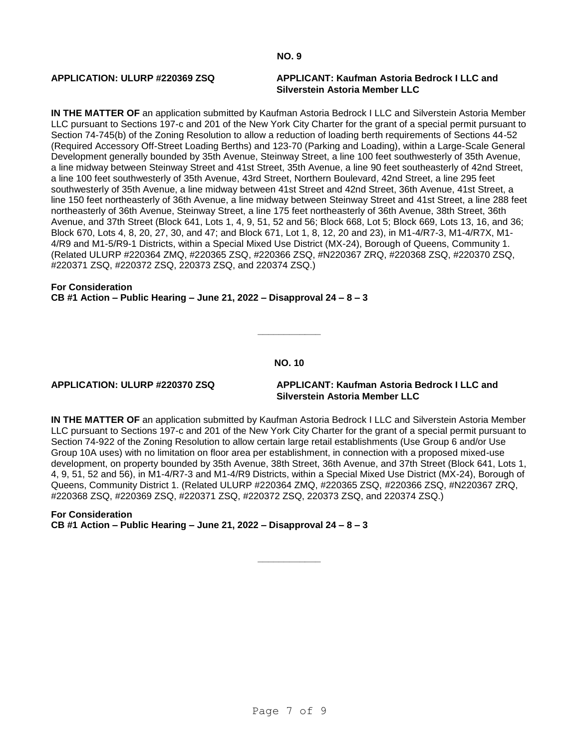### **APPLICATION: ULURP #220369 ZSQ APPLICANT: Kaufman Astoria Bedrock I LLC and Silverstein Astoria Member LLC**

**IN THE MATTER OF** an application submitted by Kaufman Astoria Bedrock I LLC and Silverstein Astoria Member LLC pursuant to Sections 197-c and 201 of the New York City Charter for the grant of a special permit pursuant to Section 74-745(b) of the Zoning Resolution to allow a reduction of loading berth requirements of Sections 44-52 (Required Accessory Off-Street Loading Berths) and 123-70 (Parking and Loading), within a Large-Scale General Development generally bounded by 35th Avenue, Steinway Street, a line 100 feet southwesterly of 35th Avenue, a line midway between Steinway Street and 41st Street, 35th Avenue, a line 90 feet southeasterly of 42nd Street, a line 100 feet southwesterly of 35th Avenue, 43rd Street, Northern Boulevard, 42nd Street, a line 295 feet southwesterly of 35th Avenue, a line midway between 41st Street and 42nd Street, 36th Avenue, 41st Street, a line 150 feet northeasterly of 36th Avenue, a line midway between Steinway Street and 41st Street, a line 288 feet northeasterly of 36th Avenue, Steinway Street, a line 175 feet northeasterly of 36th Avenue, 38th Street, 36th Avenue, and 37th Street (Block 641, Lots 1, 4, 9, 51, 52 and 56; Block 668, Lot 5; Block 669, Lots 13, 16, and 36; Block 670, Lots 4, 8, 20, 27, 30, and 47; and Block 671, Lot 1, 8, 12, 20 and 23), in M1-4/R7-3, M1-4/R7X, M1- 4/R9 and M1-5/R9-1 Districts, within a Special Mixed Use District (MX-24), Borough of Queens, Community 1. (Related ULURP #220364 ZMQ, #220365 ZSQ, #220366 ZSQ, #N220367 ZRQ, #220368 ZSQ, #220370 ZSQ, #220371 ZSQ, #220372 ZSQ, 220373 ZSQ, and 220374 ZSQ.)

#### **For Consideration CB #1 Action – Public Hearing – June 21, 2022 – Disapproval 24 – 8 – 3**

**NO. 10**

**\_\_\_\_\_\_\_\_\_\_\_\_**

**APPLICATION: ULURP #220370 ZSQ APPLICANT: Kaufman Astoria Bedrock I LLC and Silverstein Astoria Member LLC**

**IN THE MATTER OF** an application submitted by Kaufman Astoria Bedrock I LLC and Silverstein Astoria Member LLC pursuant to Sections 197-c and 201 of the New York City Charter for the grant of a special permit pursuant to Section 74-922 of the Zoning Resolution to allow certain large retail establishments (Use Group 6 and/or Use Group 10A uses) with no limitation on floor area per establishment, in connection with a proposed mixed-use development, on property bounded by 35th Avenue, 38th Street, 36th Avenue, and 37th Street (Block 641, Lots 1, 4, 9, 51, 52 and 56), in M1-4/R7-3 and M1-4/R9 Districts, within a Special Mixed Use District (MX-24), Borough of Queens, Community District 1. (Related ULURP #220364 ZMQ, #220365 ZSQ, #220366 ZSQ, #N220367 ZRQ, #220368 ZSQ, #220369 ZSQ, #220371 ZSQ, #220372 ZSQ, 220373 ZSQ, and 220374 ZSQ.)

**\_\_\_\_\_\_\_\_\_\_\_\_**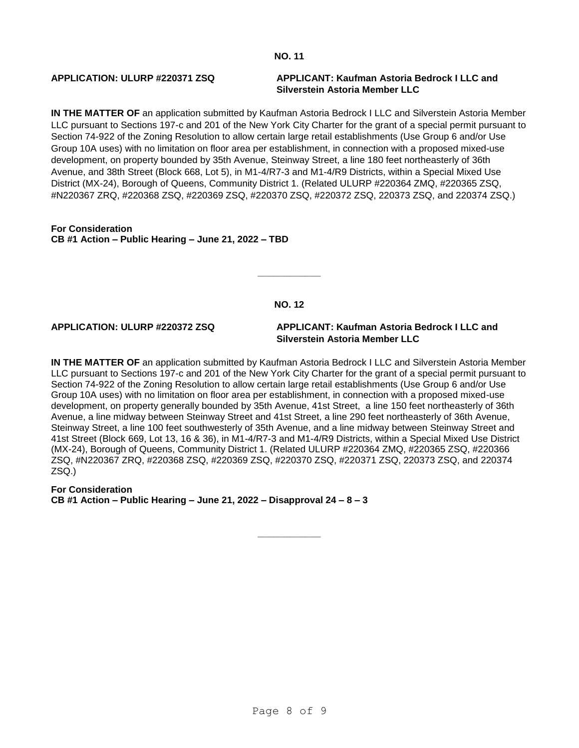### **APPLICATION: ULURP #220371 ZSQ APPLICANT: Kaufman Astoria Bedrock I LLC and Silverstein Astoria Member LLC**

**IN THE MATTER OF** an application submitted by Kaufman Astoria Bedrock I LLC and Silverstein Astoria Member LLC pursuant to Sections 197-c and 201 of the New York City Charter for the grant of a special permit pursuant to Section 74-922 of the Zoning Resolution to allow certain large retail establishments (Use Group 6 and/or Use Group 10A uses) with no limitation on floor area per establishment, in connection with a proposed mixed-use development, on property bounded by 35th Avenue, Steinway Street, a line 180 feet northeasterly of 36th Avenue, and 38th Street (Block 668, Lot 5), in M1-4/R7-3 and M1-4/R9 Districts, within a Special Mixed Use District (MX-24), Borough of Queens, Community District 1. (Related ULURP #220364 ZMQ, #220365 ZSQ, #N220367 ZRQ, #220368 ZSQ, #220369 ZSQ, #220370 ZSQ, #220372 ZSQ, 220373 ZSQ, and 220374 ZSQ.)

**For Consideration CB #1 Action – Public Hearing – June 21, 2022 – TBD**

### **NO. 12**

**\_\_\_\_\_\_\_\_\_\_\_\_**

**APPLICATION: ULURP #220372 ZSQ APPLICANT: Kaufman Astoria Bedrock I LLC and Silverstein Astoria Member LLC**

**IN THE MATTER OF** an application submitted by Kaufman Astoria Bedrock I LLC and Silverstein Astoria Member LLC pursuant to Sections 197-c and 201 of the New York City Charter for the grant of a special permit pursuant to Section 74-922 of the Zoning Resolution to allow certain large retail establishments (Use Group 6 and/or Use Group 10A uses) with no limitation on floor area per establishment, in connection with a proposed mixed-use development, on property generally bounded by 35th Avenue, 41st Street, a line 150 feet northeasterly of 36th Avenue, a line midway between Steinway Street and 41st Street, a line 290 feet northeasterly of 36th Avenue, Steinway Street, a line 100 feet southwesterly of 35th Avenue, and a line midway between Steinway Street and 41st Street (Block 669, Lot 13, 16 & 36), in M1-4/R7-3 and M1-4/R9 Districts, within a Special Mixed Use District (MX-24), Borough of Queens, Community District 1. (Related ULURP #220364 ZMQ, #220365 ZSQ, #220366 ZSQ, #N220367 ZRQ, #220368 ZSQ, #220369 ZSQ, #220370 ZSQ, #220371 ZSQ, 220373 ZSQ, and 220374 ZSQ.)

**\_\_\_\_\_\_\_\_\_\_\_\_**